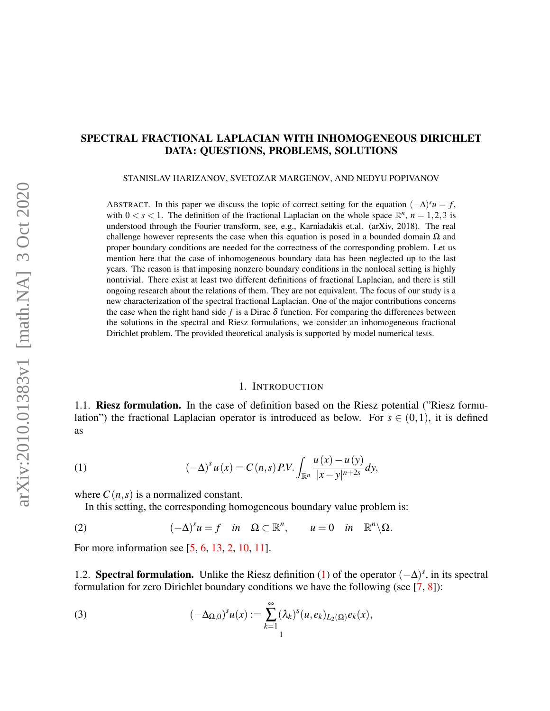# SPECTRAL FRACTIONAL LAPLACIAN WITH INHOMOGENEOUS DIRICHLET DATA: QUESTIONS, PROBLEMS, SOLUTIONS

STANISLAV HARIZANOV, SVETOZAR MARGENOV, AND NEDYU POPIVANOV

ABSTRACT. In this paper we discuss the topic of correct setting for the equation  $(-\Delta)^s u = f$ , with  $0 < s < 1$ . The definition of the fractional Laplacian on the whole space  $\mathbb{R}^n$ ,  $n = 1,2,3$  is understood through the Fourier transform, see, e.g., Karniadakis et.al. (arXiv, 2018). The real challenge however represents the case when this equation is posed in a bounded domain  $\Omega$  and proper boundary conditions are needed for the correctness of the corresponding problem. Let us mention here that the case of inhomogeneous boundary data has been neglected up to the last years. The reason is that imposing nonzero boundary conditions in the nonlocal setting is highly nontrivial. There exist at least two different definitions of fractional Laplacian, and there is still ongoing research about the relations of them. They are not equivalent. The focus of our study is a new characterization of the spectral fractional Laplacian. One of the major contributions concerns the case when the right hand side f is a Dirac  $\delta$  function. For comparing the differences between the solutions in the spectral and Riesz formulations, we consider an inhomogeneous fractional Dirichlet problem. The provided theoretical analysis is supported by model numerical tests.

#### <span id="page-0-0"></span>1. INTRODUCTION

<span id="page-0-3"></span>1.1. Riesz formulation. In the case of definition based on the Riesz potential ("Riesz formulation") the fractional Laplacian operator is introduced as below. For  $s \in (0,1)$ , it is defined as

(1) 
$$
(-\Delta)^s u(x) = C(n,s) P.V. \int_{\mathbb{R}^n} \frac{u(x) - u(y)}{|x - y|^{n+2s}} dy,
$$

where  $C(n,s)$  is a normalized constant.

<span id="page-0-1"></span>In this setting, the corresponding homogeneous boundary value problem is:

(2)  $(-\Delta)^s u = f \text{ in } \Omega \subset \mathbb{R}^n, \quad u = 0 \text{ in } \mathbb{R}^n \setminus \Omega.$ 

For more information see [\[5,](#page-14-0) [6,](#page-14-1) [13,](#page-14-2) [2,](#page-14-3) [10,](#page-14-4) [11\]](#page-14-5).

1.2. **Spectral formulation.** Unlike the Riesz definition [\(1\)](#page-0-0) of the operator  $(-\Delta)^s$ , in its spectral formulation for zero Dirichlet boundary conditions we have the following (see  $[7, 8]$  $[7, 8]$  $[7, 8]$ ):

<span id="page-0-2"></span>(3) 
$$
(-\Delta_{\Omega,0})^s u(x) := \sum_{k=1}^{\infty} (\lambda_k)^s (u,e_k)_{L_2(\Omega)} e_k(x),
$$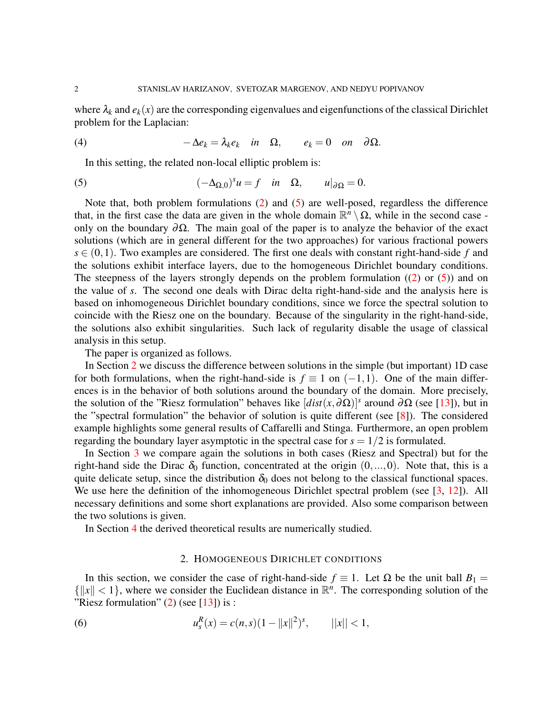where  $\lambda_k$  and  $e_k(x)$  are the corresponding eigenvalues and eigenfunctions of the classical Dirichlet problem for the Laplacian:

(4) 
$$
-\Delta e_k = \lambda_k e_k \quad \text{in} \quad \Omega, \qquad e_k = 0 \quad \text{on} \quad \partial \Omega.
$$

<span id="page-1-2"></span><span id="page-1-0"></span>In this setting, the related non-local elliptic problem is:

(5) 
$$
(-\Delta_{\Omega,0})^s u = f \quad \text{in} \quad \Omega, \qquad u|_{\partial \Omega} = 0.
$$

Note that, both problem formulations [\(2\)](#page-0-1) and [\(5\)](#page-1-0) are well-posed, regardless the difference that, in the first case the data are given in the whole domain  $\mathbb{R}^n \setminus \Omega$ , while in the second case only on the boundary  $\partial \Omega$ . The main goal of the paper is to analyze the behavior of the exact solutions (which are in general different for the two approaches) for various fractional powers  $s \in (0,1)$ . Two examples are considered. The first one deals with constant right-hand-side f and the solutions exhibit interface layers, due to the homogeneous Dirichlet boundary conditions. The steepness of the layers strongly depends on the problem formulation  $((2)$  $((2)$  or  $(5)$ ) and on the value of *s*. The second one deals with Dirac delta right-hand-side and the analysis here is based on inhomogeneous Dirichlet boundary conditions, since we force the spectral solution to coincide with the Riesz one on the boundary. Because of the singularity in the right-hand-side, the solutions also exhibit singularities. Such lack of regularity disable the usage of classical analysis in this setup.

The paper is organized as follows.

In Section [2](#page-1-1) we discuss the difference between solutions in the simple (but important) 1D case for both formulations, when the right-hand-side is  $f \equiv 1$  on  $(-1,1)$ . One of the main differences is in the behavior of both solutions around the boundary of the domain. More precisely, the solution of the "Riesz formulation" behaves like  $[dist(x, \partial \Omega)]^s$  around  $\partial \Omega$  (see [\[13\]](#page-14-2)), but in the "spectral formulation" the behavior of solution is quite different (see [\[8\]](#page-14-7)). The considered example highlights some general results of Caffarelli and Stinga. Furthermore, an open problem regarding the boundary layer asymptotic in the spectral case for  $s = 1/2$  is formulated.

In Section [3](#page-4-0) we compare again the solutions in both cases (Riesz and Spectral) but for the right-hand side the Dirac  $\delta_0$  function, concentrated at the origin  $(0,...,0)$ . Note that, this is a quite delicate setup, since the distribution  $\delta_0$  does not belong to the classical functional spaces. We use here the definition of the inhomogeneous Dirichlet spectral problem (see [\[3,](#page-14-8) [12\]](#page-14-9)). All necessary definitions and some short explanations are provided. Also some comparison between the two solutions is given.

In Section [4](#page-10-0) the derived theoretical results are numerically studied.

## <span id="page-1-3"></span>2. HOMOGENEOUS DIRICHLET CONDITIONS

<span id="page-1-1"></span>In this section, we consider the case of right-hand-side  $f \equiv 1$ . Let  $\Omega$  be the unit ball  $B_1 =$  $\{|x| < 1\}$ , where we consider the Euclidean distance in  $\mathbb{R}^n$ . The corresponding solution of the "Riesz formulation"  $(2)$  (see [\[13\]](#page-14-2)) is :

(6) 
$$
u_s^R(x) = c(n,s)(1 - ||x||^2)^s, \qquad ||x|| < 1,
$$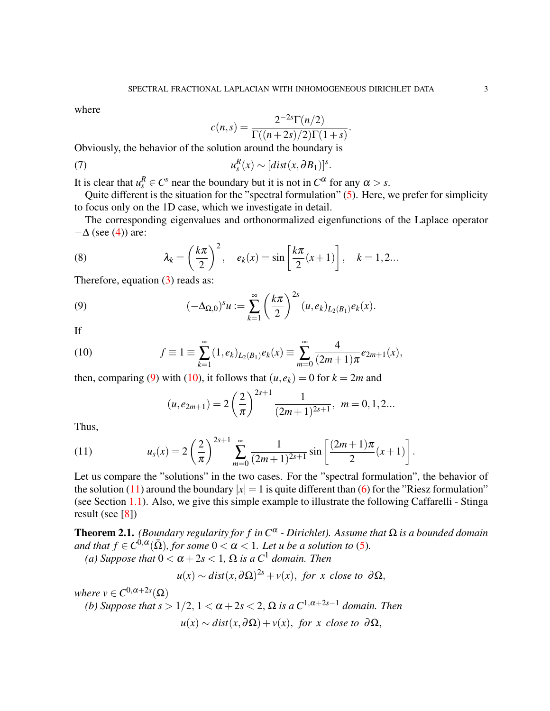where

<span id="page-2-5"></span>
$$
c(n,s) = \frac{2^{-2s} \Gamma(n/2)}{\Gamma((n+2s)/2) \Gamma(1+s)}.
$$

Obviously, the behavior of the solution around the boundary is

(7) 
$$
u_s^R(x) \sim [dist(x, \partial B_1)]^s.
$$

It is clear that  $u_s^R \in C^s$  near the boundary but it is not in  $C^{\alpha}$  for any  $\alpha > s$ .

Quite different is the situation for the "spectral formulation" [\(5\)](#page-1-0). Here, we prefer for simplicity to focus only on the 1D case, which we investigate in detail.

The corresponding eigenvalues and orthonormalized eigenfunctions of the Laplace operator  $-\Delta$  (see [\(4\)](#page-1-2)) are:

<span id="page-2-4"></span>(8) 
$$
\lambda_k = \left(\frac{k\pi}{2}\right)^2, \quad e_k(x) = \sin\left[\frac{k\pi}{2}(x+1)\right], \quad k = 1, 2...
$$

Therefore, equation  $(3)$  reads as:

(9) 
$$
(-\Delta_{\Omega,0})^s u := \sum_{k=1}^{\infty} \left(\frac{k\pi}{2}\right)^{2s} (u,e_k)_{L_2(B_1)} e_k(x).
$$

If

(10) 
$$
f \equiv 1 \equiv \sum_{k=1}^{\infty} (1, e_k)_{L_2(B_1)} e_k(x) \equiv \sum_{m=0}^{\infty} \frac{4}{(2m+1)\pi} e_{2m+1}(x),
$$

then, comparing [\(9\)](#page-2-0) with [\(10\)](#page-2-1), it follows that  $(u, e_k) = 0$  for  $k = 2m$  and

<span id="page-2-2"></span><span id="page-2-1"></span><span id="page-2-0"></span>
$$
(u,e_{2m+1})=2\left(\frac{2}{\pi}\right)^{2s+1}\frac{1}{(2m+1)^{2s+1}},\ \ m=0,1,2...
$$

Thus,

(11) 
$$
u_s(x) = 2\left(\frac{2}{\pi}\right)^{2s+1} \sum_{m=0}^{\infty} \frac{1}{(2m+1)^{2s+1}} \sin\left[\frac{(2m+1)\pi}{2}(x+1)\right].
$$

Let us compare the "solutions" in the two cases. For the "spectral formulation", the behavior of the solution [\(11\)](#page-2-2) around the boundary  $|x| = 1$  is quite different than [\(6\)](#page-1-3) for the "Riesz formulation" (see Section [1.1\)](#page-0-3). Also, we give this simple example to illustrate the following Caffarelli - Stinga result (see [\[8\]](#page-14-7))

<span id="page-2-3"></span>Theorem 2.1. *(Boundary regularity for f in C*<sup>α</sup> *- Dirichlet). Assume that* Ω *is a bounded domain* and that  $f \in C^{0,\alpha}(\bar{\Omega})$ , for some  $0 < \alpha < 1$ . Let u be a solution to [\(5\)](#page-1-0). *(a)* Suppose that  $0 < \alpha + 2s < 1$ ,  $\Omega$  *is a*  $C<sup>1</sup>$  *domain. Then* 

$$
u(x) \sim dist(x, \partial \Omega)^{2s} + v(x), \text{ for } x \text{ close to } \partial \Omega,
$$

*where*  $v \in C^{0, \alpha+2s}(\overline{\Omega})$ *(b)* Suppose that  $s > 1/2$ ,  $1 < \alpha + 2s < 2$ ,  $\Omega$  is a  $C^{1,\alpha+2s-1}$  domain. Then  $u(x) \sim dist(x, \partial \Omega) + v(x)$ , *for x close to*  $\partial \Omega$ ,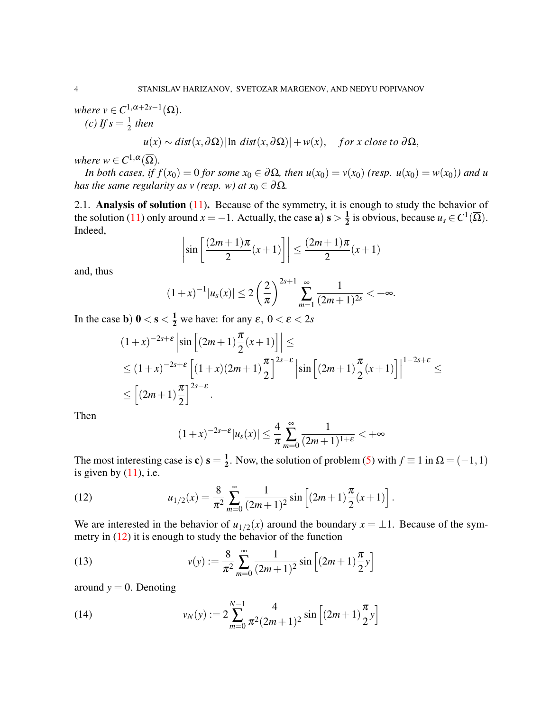*where*  $v \in C^{1, \alpha+2s-1}(\overline{\Omega})$ . *(c)* If  $s = \frac{1}{2}$  $rac{1}{2}$  then

$$
u(x) \sim dist(x, \partial \Omega)
$$
 | ln dist $(x, \partial \Omega)$ | + w $(x)$ , for x close to  $\partial \Omega$ ,

*where*  $w \in C^{1,\alpha}(\overline{\Omega})$ *.* 

*In both cases, if*  $f(x_0) = 0$  *for some*  $x_0 \in \partial \Omega$ *, then*  $u(x_0) = v(x_0)$  *(resp.*  $u(x_0) = w(x_0)$ *) and u has the same regularity as v (resp. w) at*  $x_0 \in \partial \Omega$ *.* 

2.1. Analysis of solution  $(11)$ . Because of the symmetry, it is enough to study the behavior of the solution [\(11\)](#page-2-2) only around  $x = -1$ . Actually, the case **a**)  $s > \frac{1}{2}$  $\frac{1}{2}$  is obvious, because  $u_s \in C^1(\overline{\Omega})$ . Indeed,

$$
\left|\sin\left[\frac{(2m+1)\pi}{2}(x+1)\right]\right| \le \frac{(2m+1)\pi}{2}(x+1)
$$

and, thus

$$
(1+x)^{-1}|u_s(x)| \le 2\left(\frac{2}{\pi}\right)^{2s+1}\sum_{m=1}^{\infty}\frac{1}{(2m+1)^{2s}} < +\infty.
$$

In the case **b**)  $0 < s < \frac{1}{2}$  we have: for any  $\varepsilon$ ,  $0 < \varepsilon < 2s$ 

$$
(1+x)^{-2s+\epsilon} \left| \sin \left[ (2m+1)\frac{\pi}{2}(x+1) \right] \right| \le
$$
  
\n
$$
\le (1+x)^{-2s+\epsilon} \left[ (1+x)(2m+1)\frac{\pi}{2} \right]^{2s-\epsilon} \left| \sin \left[ (2m+1)\frac{\pi}{2}(x+1) \right] \right|^{1-2s+\epsilon} \le
$$
  
\n
$$
\le \left[ (2m+1)\frac{\pi}{2} \right]^{2s-\epsilon}.
$$

Then

<span id="page-3-0"></span>
$$
(1+x)^{-2s+\epsilon}|u_s(x)| \leq \frac{4}{\pi} \sum_{m=0}^{\infty} \frac{1}{(2m+1)^{1+\epsilon}} < +\infty
$$

The most interesting case is **c**)  $s = \frac{1}{2}$  $\frac{1}{2}$ . Now, the solution of problem [\(5\)](#page-1-0) with  $f \equiv 1$  in  $\Omega = (-1,1)$ is given by  $(11)$ , i.e.

(12) 
$$
u_{1/2}(x) = \frac{8}{\pi^2} \sum_{m=0}^{\infty} \frac{1}{(2m+1)^2} \sin \left[ (2m+1) \frac{\pi}{2} (x+1) \right].
$$

We are interested in the behavior of  $u_{1/2}(x)$  around the boundary  $x = \pm 1$ . Because of the symmetry in [\(12\)](#page-3-0) it is enough to study the behavior of the function

(13) 
$$
v(y) := \frac{8}{\pi^2} \sum_{m=0}^{\infty} \frac{1}{(2m+1)^2} \sin \left[ (2m+1) \frac{\pi}{2} y \right]
$$

around  $y = 0$ . Denoting

<span id="page-3-1"></span>(14) 
$$
v_N(y) := 2 \sum_{m=0}^{N-1} \frac{4}{\pi^2 (2m+1)^2} \sin \left[ (2m+1) \frac{\pi}{2} y \right]
$$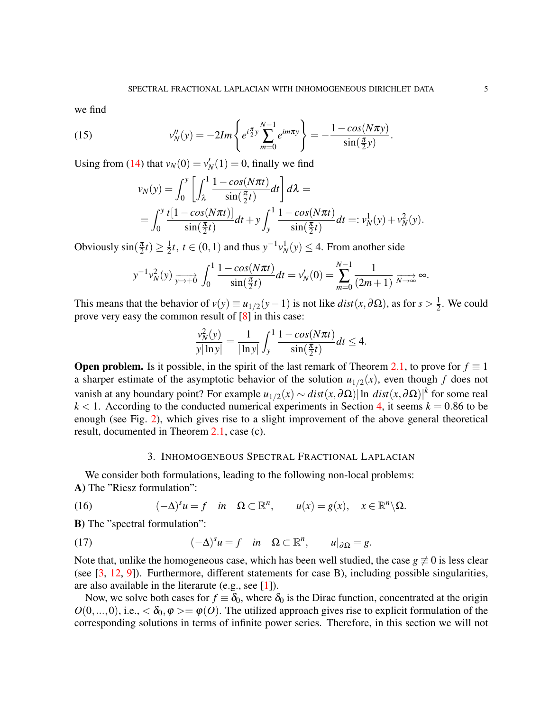we find

(15) 
$$
v_N''(y) = -2Im\left\{e^{i\frac{\pi}{2}y}\sum_{m=0}^{N-1}e^{im\pi y}\right\} = -\frac{1-cos(N\pi y)}{\sin(\frac{\pi}{2}y)}.
$$

Using from [\(14\)](#page-3-1) that  $v_N(0) = v'_N(1) = 0$ , finally we find

<span id="page-4-1"></span>
$$
v_N(y) = \int_0^y \left[ \int_\lambda^1 \frac{1 - \cos(N\pi t)}{\sin(\frac{\pi}{2}t)} dt \right] d\lambda =
$$
  
= 
$$
\int_0^y \frac{t[1 - \cos(N\pi t)]}{\sin(\frac{\pi}{2}t)} dt + y \int_y^1 \frac{1 - \cos(N\pi t)}{\sin(\frac{\pi}{2}t)} dt =: v_N^1(y) + v_N^2(y).
$$

Obviously  $\sin(\frac{\pi}{2})$  $\frac{\pi}{2}t)\geq \frac{1}{2}$  $\frac{1}{2}$ *t*, *t* ∈ (0, 1) and thus  $y^{-1}v_N^1(y)$  ≤ 4. From another side

$$
y^{-1}v_N^2(y) \xrightarrow[y \to +0]{} \int_0^1 \frac{1 - \cos(N\pi t)}{\sin(\frac{\pi}{2}t)} dt = v_N'(0) = \sum_{m=0}^{N-1} \frac{1}{(2m+1)} \xrightarrow[N \to \infty]{} \infty.
$$

This means that the behavior of  $v(y) \equiv u_{1/2}(y-1)$  is not like  $dist(x, \partial \Omega)$ , as for  $s > \frac{1}{2}$  $\frac{1}{2}$ . We could prove very easy the common result of [\[8\]](#page-14-7) in this case:

$$
\frac{v_N^2(y)}{y|\ln y|} = \frac{1}{|\ln y|} \int_y^1 \frac{1 - \cos(N\pi t)}{\sin(\frac{\pi}{2}t)} dt \le 4.
$$

**Open problem.** Is it possible, in the spirit of the last remark of Theorem [2.1,](#page-2-3) to prove for  $f \equiv 1$ a sharper estimate of the asymptotic behavior of the solution  $u_{1/2}(x)$ , even though f does not vanish at any boundary point? For example  $u_{1/2}(x) \sim dist(x, \partial \Omega) |\ln dist(x, \partial \Omega)|^k$  for some real  $k < 1$ . According to the conducted numerical experiments in Section [4,](#page-10-0) it seems  $k = 0.86$  to be enough (see Fig. [2\)](#page-12-0), which gives rise to a slight improvement of the above general theoretical result, documented in Theorem [2.1,](#page-2-3) case (c).

## 3. INHOMOGENEOUS SPECTRAL FRACTIONAL LAPLACIAN

<span id="page-4-0"></span>We consider both formulations, leading to the following non-local problems: A) The "Riesz formulation":

(16) 
$$
(-\Delta)^s u = f \quad \text{in} \quad \Omega \subset \mathbb{R}^n, \qquad u(x) = g(x), \quad x \in \mathbb{R}^n \setminus \Omega.
$$

B) The "spectral formulation":

(17) 
$$
(-\Delta)^s u = f \quad \text{in} \quad \Omega \subset \mathbb{R}^n, \qquad u|_{\partial \Omega} = g.
$$

Note that, unlike the homogeneous case, which has been well studied, the case  $g \neq 0$  is less clear (see [\[3,](#page-14-8) [12,](#page-14-9) [9\]](#page-14-10)). Furthermore, different statements for case B), including possible singularities, are also available in the literarute (e.g., see [\[1\]](#page-14-11)).

Now, we solve both cases for  $f \equiv \delta_0$ , where  $\delta_0$  is the Dirac function, concentrated at the origin  $O(0,...,0)$ , i.e.,  $<\delta_0$ ,  $\varphi>=\varphi(0)$ . The utilized approach gives rise to explicit formulation of the corresponding solutions in terms of infinite power series. Therefore, in this section we will not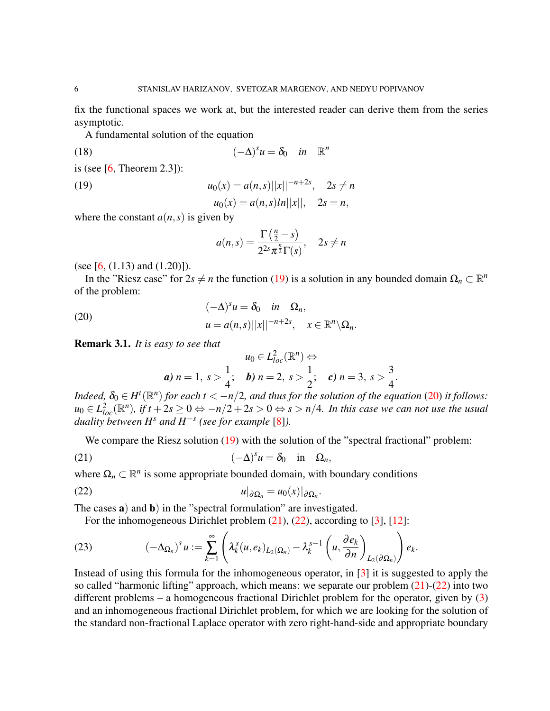fix the functional spaces we work at, but the interested reader can derive them from the series asymptotic.

A fundamental solution of the equation

(18) 
$$
(-\Delta)^s u = \delta_0 \quad in \quad \mathbb{R}^n
$$

is (see  $[6,$  Theorem 2.3]):

$$
(19)
$$

(19) 
$$
u_0(x) = a(n,s)||x||^{-n+2s}, \quad 2s \neq n
$$

$$
u_0(x) = a(n,s)|x||x||^{-n+2s}, \quad 2s = n
$$

<span id="page-5-0"></span>
$$
u_0(x) = a(n,s) \ln ||x||
$$
, 2s = n,

where the constant  $a(n, s)$  is given by

$$
a(n,s) = \frac{\Gamma(\frac{n}{2} - s)}{2^{2s}\pi^{\frac{n}{2}}\Gamma(s)}, \quad 2s \neq n
$$

(see  $[6, (1.13)$  $[6, (1.13)$  and  $(1.20)]$ ).

In the "Riesz case" for  $2s \neq n$  the function [\(19\)](#page-5-0) is a solution in any bounded domain  $\Omega_n \subset \mathbb{R}^n$ of the problem:

<span id="page-5-1"></span>(20) 
$$
(-\Delta)^s u = \delta_0 \quad in \quad \Omega_n,
$$

$$
u = a(n,s) ||x||^{-n+2s}, \quad x \in \mathbb{R}^n \setminus \Omega_n.
$$

<span id="page-5-4"></span>Remark 3.1. *It is easy to see that*

<span id="page-5-3"></span><span id="page-5-2"></span>
$$
u_0 \in L^2_{loc}(\mathbb{R}^n) \Leftrightarrow
$$
  
\n**a)**  $n = 1, s > \frac{1}{4};$  **b)**  $n = 2, s > \frac{1}{2};$  **c)**  $n = 3, s > \frac{3}{4}.$ 

*Indeed,*  $\delta_0 \in H^t(\mathbb{R}^n)$  *for each t* <  $-n/2$ *, and thus for the solution of the equation* [\(20\)](#page-5-1) *it follows:*  $u_0 \in L^2_{loc}(\mathbb{R}^n)$ , if  $t + 2s \ge 0 \Leftrightarrow -n/2 + 2s > 0 \Leftrightarrow s > n/4$ . In this case we can not use the usual *duality between H<sup>s</sup> and H*−*<sup>s</sup> (see for example* [\[8\]](#page-14-7)*).*

We compare the Riesz solution [\(19\)](#page-5-0) with the solution of the "spectral fractional" problem:

(21) 
$$
(-\Delta)^s u = \delta_0 \quad \text{in} \quad \Omega_n,
$$

where  $\Omega_n \subset \mathbb{R}^n$  is some appropriate bounded domain, with boundary conditions

$$
u|_{\partial \Omega_n} = u_0(x)|_{\partial \Omega_n}.
$$

The cases **a**) and **b**) in the "spectral formulation" are investigated.

For the inhomogeneous Dirichlet problem [\(21\)](#page-5-2), [\(22\)](#page-5-3), according to [\[3\]](#page-14-8), [\[12\]](#page-14-9):

(23) 
$$
(-\Delta_{\Omega_n})^s u := \sum_{k=1}^{\infty} \left( \lambda_k^s (u, e_k)_{L_2(\Omega_n)} - \lambda_k^{s-1} \left( u, \frac{\partial e_k}{\partial n} \right)_{L_2(\partial \Omega_n)} \right) e_k
$$

Instead of using this formula for the inhomogeneous operator, in [\[3\]](#page-14-8) it is suggested to apply the so called "harmonic lifting" approach, which means: we separate our problem  $(21)-(22)$  $(21)-(22)$  $(21)-(22)$  into two different problems – a homogeneous fractional Dirichlet problem for the operator, given by [\(3\)](#page-0-2) and an inhomogeneous fractional Dirichlet problem, for which we are looking for the solution of the standard non-fractional Laplace operator with zero right-hand-side and appropriate boundary

.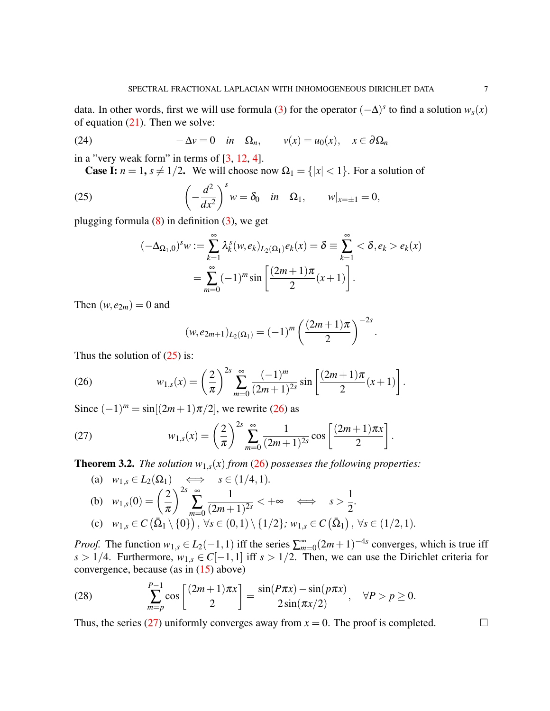data. In other words, first we will use formula [\(3\)](#page-0-2) for the operator  $(-\Delta)^s$  to find a solution  $w_s(x)$ of equation  $(21)$ . Then we solve:

(24) 
$$
-\Delta v = 0 \quad in \quad \Omega_n, \qquad v(x) = u_0(x), \quad x \in \partial \Omega_n
$$

in a "very weak form" in terms of  $[3, 12, 4]$  $[3, 12, 4]$  $[3, 12, 4]$  $[3, 12, 4]$  $[3, 12, 4]$ .

<span id="page-6-3"></span>**Case I:**  $n = 1$ ,  $s \neq 1/2$ . We will choose now  $\Omega_1 = \{|x| < 1\}$ . For a solution of

(25) 
$$
\left(-\frac{d^2}{dx^2}\right)^sw = \delta_0 \quad in \quad \Omega_1, \qquad w|_{x=\pm 1} = 0,
$$

plugging formula  $(8)$  in definition  $(3)$ , we get

<span id="page-6-0"></span>
$$
(-\Delta_{\Omega_1,0})^s w := \sum_{k=1}^{\infty} \lambda_k^s (w, e_k)_{L_2(\Omega_1)} e_k(x) = \delta \equiv \sum_{k=1}^{\infty} <\delta, e_k > e_k(x)
$$
  
= 
$$
\sum_{m=0}^{\infty} (-1)^m \sin \left[ \frac{(2m+1)\pi}{2} (x+1) \right].
$$

Then  $(w, e_{2m}) = 0$  and

<span id="page-6-1"></span>
$$
(w,e_{2m+1})_{L_2(\Omega_1)} = (-1)^m \left( \frac{(2m+1)\pi}{2} \right)^{-2s}
$$

.

Thus the solution of  $(25)$  is:

(26) 
$$
w_{1,s}(x) = \left(\frac{2}{\pi}\right)^{2s} \sum_{m=0}^{\infty} \frac{(-1)^m}{(2m+1)^{2s}} \sin\left[\frac{(2m+1)\pi}{2}(x+1)\right].
$$

Since  $(-1)^m = \sin[(2m+1)\pi/2]$ , we rewrite [\(26\)](#page-6-1) as

(27) 
$$
w_{1,s}(x) = \left(\frac{2}{\pi}\right)^{2s} \sum_{m=0}^{\infty} \frac{1}{(2m+1)^{2s}} \cos\left[\frac{(2m+1)\pi x}{2}\right].
$$

**Theorem 3.2.** *The solution*  $w_{1,s}(x)$  *from* [\(26\)](#page-6-1) *possesses the following properties:* 

<span id="page-6-2"></span>(a) 
$$
w_{1,s} \in L_2(\Omega_1)
$$
  $\iff$   $s \in (1/4, 1).$   
\n(b)  $w_{1,s}(0) = \left(\frac{2}{\pi}\right)^{2s} \sum_{m=0}^{\infty} \frac{1}{(2m+1)^{2s}} < +\infty \iff s > \frac{1}{2}.$   
\n(c)  $w_{1,s} \in C(\overline{\Omega}_1 \setminus \{0\}), \forall s \in (0, 1) \setminus \{1/2\}; w_{1,s} \in C(\overline{\Omega}_1), \forall s \in (1/2, 1).$ 

*Proof.* The function  $w_{1,s} \in L_2(-1,1)$  iff the series  $\sum_{m=0}^{\infty} (2m+1)^{-4s}$  converges, which is true iff *s* > 1/4. Furthermore,  $w_{1,s}$  ∈ *C*[−1,1] iff *s* > 1/2. Then, we can use the Dirichlet criteria for convergence, because (as in [\(15\)](#page-4-1) above)

<span id="page-6-4"></span>(28) 
$$
\sum_{m=p}^{P-1} \cos\left[\frac{(2m+1)\pi x}{2}\right] = \frac{\sin(P\pi x) - \sin(p\pi x)}{2\sin(\pi x/2)}, \quad \forall P > p \ge 0.
$$

Thus, the series [\(27\)](#page-6-2) uniformly converges away from  $x = 0$ . The proof is completed.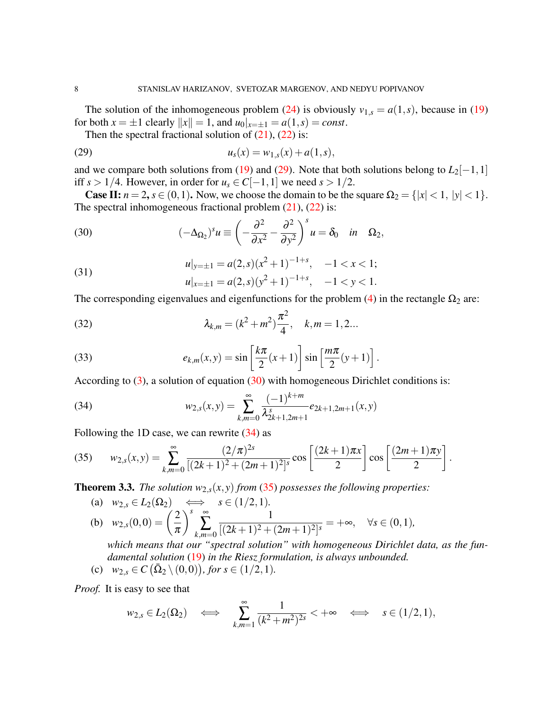The solution of the inhomogeneous problem [\(24\)](#page-6-3) is obviously  $v_{1,s} = a(1,s)$ , because in [\(19\)](#page-5-0) for both  $x = \pm 1$  clearly  $||x|| = 1$ , and  $u_0|_{x = \pm 1} = a(1, s) = const.$ 

<span id="page-7-0"></span>Then the spectral fractional solution of  $(21)$ ,  $(22)$  is:

(29) 
$$
u_s(x) = w_{1,s}(x) + a(1,s),
$$

and we compare both solutions from [\(19\)](#page-5-0) and [\(29\)](#page-7-0). Note that both solutions belong to  $L_2[-1,1]$ iff *s* > 1/4. However, in order for *u<sub>s</sub>* ∈ *C*[−1, 1] we need *s* > 1/2.

**Case II:**  $n = 2$ ,  $s \in (0,1)$ . Now, we choose the domain to be the square  $\Omega_2 = \{ |x| < 1, |y| < 1 \}$ . The spectral inhomogeneous fractional problem  $(21)$ ,  $(22)$  is:

<span id="page-7-1"></span>(30) 
$$
(-\Delta_{\Omega_2})^s u \equiv \left(-\frac{\partial^2}{\partial x^2} - \frac{\partial^2}{\partial y^2}\right)^s u = \delta_0 \quad \text{in} \quad \Omega_2,
$$

<span id="page-7-4"></span>(31) 
$$
u|_{y=\pm 1} = a(2,s)(x^2+1)^{-1+s}, \quad -1 < x < 1;
$$

$$
u|_{x=\pm 1} = a(2,s)(y^2+1)^{-1+s}, \quad -1 < y < 1.
$$

The corresponding eigenvalues and eigenfunctions for the problem [\(4\)](#page-1-2) in the rectangle  $\Omega_2$  are:

(32) 
$$
\lambda_{k,m} = (k^2 + m^2) \frac{\pi^2}{4}, \quad k,m = 1,2...
$$

(33) 
$$
e_{k,m}(x,y) = \sin\left[\frac{k\pi}{2}(x+1)\right] \sin\left[\frac{m\pi}{2}(y+1)\right].
$$

According to  $(3)$ , a solution of equation  $(30)$  with homogeneous Dirichlet conditions is:

<span id="page-7-2"></span>(34) 
$$
w_{2,s}(x,y) = \sum_{k,m=0}^{\infty} \frac{(-1)^{k+m}}{\lambda_{2k+1,2m+1}^s} e_{2k+1,2m+1}(x,y)
$$

Following the 1D case, we can rewrite  $(34)$  as

<span id="page-7-3"></span>(35) 
$$
w_{2,s}(x,y) = \sum_{k,m=0}^{\infty} \frac{(2/\pi)^{2s}}{[(2k+1)^2 + (2m+1)^2]^s} \cos\left[\frac{(2k+1)\pi x}{2}\right] \cos\left[\frac{(2m+1)\pi y}{2}\right].
$$

**Theorem 3.3.** *The solution*  $w_{2,s}(x, y)$  *from* [\(35\)](#page-7-3) *possesses the following properties:* 

(a) 
$$
w_{2,s} \in L_2(\Omega_2) \iff s \in (1/2, 1).
$$
  
\n(b)  $w_{2,s}(0,0) = \left(\frac{2}{\pi}\right)^s \sum_{k,m=0}^{\infty} \frac{1}{[(2k+1)^2 + (2m+1)^2]^s} = +\infty, \quad \forall s \in (0,1),$ 

*which means that our "spectral solution" with homogeneous Dirichlet data, as the fundamental solution* [\(19\)](#page-5-0) *in the Riesz formulation, is always unbounded.*

(c) 
$$
w_{2,s} \in C(\bar{\Omega}_2 \setminus (0,0)),
$$
 for  $s \in (1/2,1)$ .

*Proof.* It is easy to see that

$$
w_{2,s} \in L_2(\Omega_2) \iff \sum_{k,m=1}^{\infty} \frac{1}{(k^2+m^2)^{2s}} < +\infty \iff s \in (1/2,1),
$$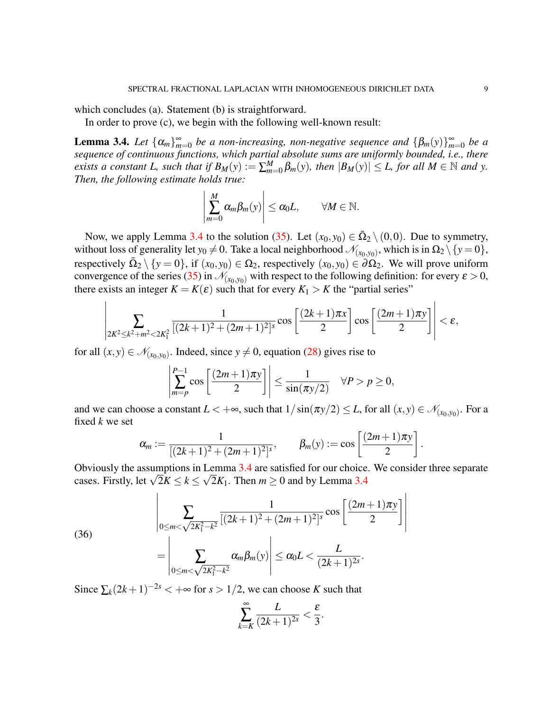which concludes (a). Statement (b) is straightforward.

In order to prove (c), we begin with the following well-known result:

<span id="page-8-0"></span>**Lemma 3.4.** Let  $\{\alpha_m\}_{m=0}^{\infty}$  be a non-increasing, non-negative sequence and  $\{\beta_m(y)\}_{m=0}^{\infty}$  be a *sequence of continuous functions, which partial absolute sums are uniformly bounded, i.e., there exists a constant L, such that if*  $B_M(y) := \sum_{m=0}^M \beta_m(y)$ , then  $|B_M(y)| \leq L$ , for all  $M \in \mathbb{N}$  and y. *Then, the following estimate holds true:*

$$
\left|\sum_{m=0}^M \alpha_m \beta_m(y)\right| \leq \alpha_0 L, \qquad \forall M \in \mathbb{N}.
$$

Now, we apply Lemma [3.4](#page-8-0) to the solution [\(35\)](#page-7-3). Let  $(x_0, y_0) \in \overline{\Omega}_2 \setminus (0,0)$ . Due to symmetry, without loss of generality let  $y_0 \neq 0$ . Take a local neighborhood  $\mathcal{N}_{(x_0,y_0)}$ , which is in  $\Omega_2 \setminus \{y = 0\}$ , respectively  $\bar{\Omega}_2 \setminus \{y = 0\}$ , if  $(x_0, y_0) \in \Omega_2$ , respectively  $(x_0, y_0) \in \partial \Omega_2$ . We will prove uniform convergence of the series [\(35\)](#page-7-3) in  $\mathcal{N}_{(x_0,y_0)}$  with respect to the following definition: for every  $\varepsilon > 0$ , there exists an integer  $K = K(\varepsilon)$  such that for every  $K_1 > K$  the "partial series"

$$
\left|\sum_{2K^2\leq k^2+m^2<2K_1^2}\frac{1}{[(2k+1)^2+(2m+1)^2]^s}\cos\left[\frac{(2k+1)\pi x}{2}\right]\cos\left[\frac{(2m+1)\pi y}{2}\right]\right|<\varepsilon,
$$

for all  $(x, y) \in \mathcal{N}_{(x_0, y_0)}$ . Indeed, since  $y \neq 0$ , equation [\(28\)](#page-6-4) gives rise to

$$
\left|\sum_{m=p}^{P-1} \cos\left[\frac{(2m+1)\pi y}{2}\right]\right| \le \frac{1}{\sin(\pi y/2)} \quad \forall P > p \ge 0,
$$

and we can choose a constant  $L < +\infty$ , such that  $1/\sin(\pi y/2) \le L$ , for all  $(x, y) \in \mathcal{N}_{(x_0, y_0)}$ . For a fixed *k* we set

$$
\alpha_m := \frac{1}{[(2k+1)^2 + (2m+1)^2]^s}, \qquad \beta_m(y) := \cos\left[\frac{(2m+1)\pi y}{2}\right].
$$

Obviously the assumptions in Lemma [3.4](#page-8-0) are satisfied for our choice. We consider three separate Obviously the assumptions in Lemma [3.4](#page-8-0) are satisfied for our choice<br>cases. Firstly, let  $\sqrt{2}K \le k \le \sqrt{2}K_1$ . Then  $m \ge 0$  and by Lemma 3.4

<span id="page-8-1"></span>(36)  

$$
\left| \sum_{0 \le m < \sqrt{2K_1^2 - k^2}} \frac{1}{[(2k+1)^2 + (2m+1)^2]^s} \cos \left[ \frac{(2m+1)\pi y}{2} \right] \right|
$$

$$
= \left| \sum_{0 \le m < \sqrt{2K_1^2 - k^2}} \alpha_m \beta_m(y) \right| \le \alpha_0 L < \frac{L}{(2k+1)^{2s}}.
$$

Since  $\sum_k (2k+1)^{-2s} < +\infty$  for  $s > 1/2$ , we can choose *K* such that

$$
\sum_{k=K}^{\infty} \frac{L}{(2k+1)^{2s}} < \frac{\varepsilon}{3}.
$$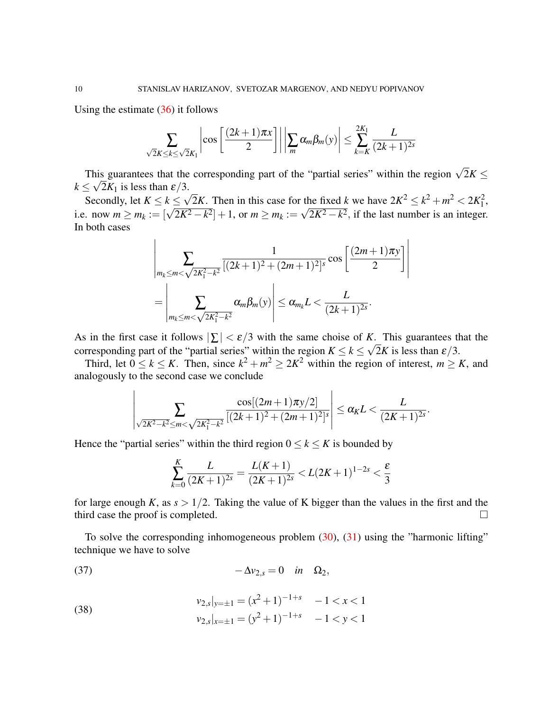Using the estimate  $(36)$  it follows

$$
\sum_{\sqrt{2}K\leq k\leq \sqrt{2}K_1}\left|\cos\left[\frac{(2k+1)\pi x}{2}\right]\right|\left|\sum_{m}\alpha_m\beta_m(y)\right|\leq \sum_{k=K}^{2K_1}\frac{L}{(2k+1)^{2s}}
$$

This guarantees that the corresponding part of the "partial series" within the region  $\sqrt{2}K \leq$  $k \leq \sqrt{2K_1}$  is less than  $\epsilon/3$ . √

Secondly, let  $K \leq k \leq$  $\frac{2K}{2K}$ . Then in this case for the fixed *k* we have  $2K^2 \le k^2 + m^2 < 2K_1^2$ , secondly, let  $K \leq k \leq \sqrt{2K}$ . Then in this case for the fixed k we have  $2K \leq k + m \leq 2K_1$ ,<br>i.e. now  $m \geq m_k := [\sqrt{2K^2 - k^2}] + 1$ , or  $m \geq m_k := \sqrt{2K^2 - k^2}$ , if the last number is an integer. In both cases

$$
\left| \sum_{m_k \le m < \sqrt{2K_1^2 - k^2}} \frac{1}{[(2k+1)^2 + (2m+1)^2]^s} \cos \left[ \frac{(2m+1)\pi y}{2} \right] \right|
$$
  
= 
$$
\left| \sum_{m_k \le m < \sqrt{2K_1^2 - k^2}} \alpha_m \beta_m(y) \right| \le \alpha_{m_k} L < \frac{L}{(2k+1)^{2s}}.
$$

As in the first case it follows  $|\Sigma| < \varepsilon/3$  with the same choise of *K*. This guarantees that the corresponding part of the "partial series" within the region  $K \le k \le \sqrt{2K}$  is less than  $\varepsilon/3$ .

Third, let  $0 \le k \le K$ . Then, since  $k^2 + m^2 \ge 2K^2$  within the region of interest,  $m \ge K$ , and analogously to the second case we conclude

$$
\left|\sum_{\sqrt{2K^2-k^2}\leq m<\sqrt{2K_1^2-k^2}}\frac{\cos[(2m+1)\pi y/2]}{[(2k+1)^2+(2m+1)^2]^s}\right|\leq \alpha_K L < \frac{L}{(2K+1)^{2s}}
$$

.

Hence the "partial series" within the third region  $0 \le k \le K$  is bounded by

<span id="page-9-0"></span>
$$
\sum_{k=0}^{K} \frac{L}{(2K+1)^{2s}} = \frac{L(K+1)}{(2K+1)^{2s}} < L(2K+1)^{1-2s} < \frac{\varepsilon}{3}
$$

for large enough *K*, as  $s > 1/2$ . Taking the value of K bigger than the values in the first and the third case the proof is completed.

To solve the corresponding inhomogeneous problem  $(30)$ ,  $(31)$  using the "harmonic lifting" technique we have to solve

$$
(37) \t\t -\Delta v_{2,s} = 0 \t in \t \Omega_2,
$$

(38) 
$$
v_{2,s}|_{y=\pm 1} = (x^2 + 1)^{-1+s} - 1 < x < 1
$$

$$
v_{2,s}|_{x=\pm 1} = (y^2 + 1)^{-1+s} - 1 < y < 1
$$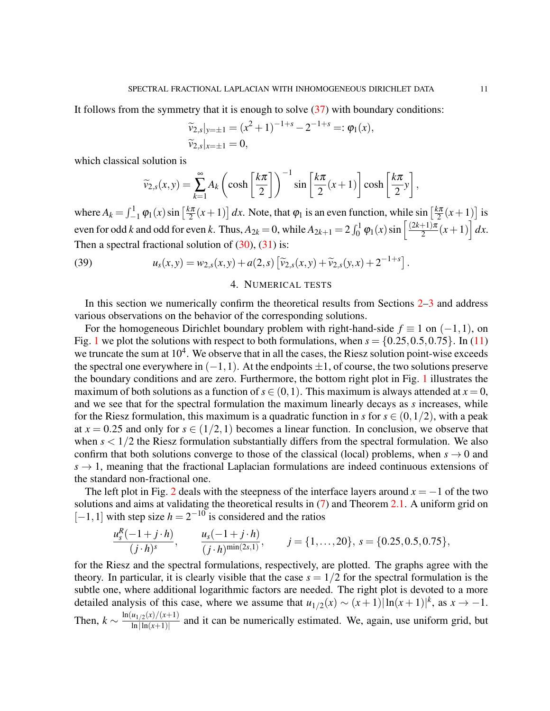It follows from the symmetry that it is enough to solve [\(37\)](#page-9-0) with boundary conditions:

$$
\widetilde{v}_{2,s}|_{y=\pm 1} = (x^2 + 1)^{-1+s} - 2^{-1+s} =: \varphi_1(x),
$$
  

$$
\widetilde{v}_{2,s}|_{x=\pm 1} = 0,
$$

which classical solution is

$$
\widetilde{\nu}_{2,s}(x,y) = \sum_{k=1}^{\infty} A_k \left( \cosh\left[\frac{k\pi}{2}\right] \right)^{-1} \sin\left[\frac{k\pi}{2}(x+1)\right] \cosh\left[\frac{k\pi}{2}y\right],
$$

where  $A_k = \int_{-1}^{1} \varphi_1(x) \sin\left[\frac{k\pi}{2}\right]$  $\left[\frac{2\pi}{2}(x+1)\right]dx$ . Note, that  $\varphi_1$  is an even function, while sin  $\left[\frac{k\pi}{2}\right]$  $\frac{2\pi}{2}(x+1)$  is even for odd *k* and odd for even *k*. Thus,  $A_{2k} = 0$ , while  $A_{2k+1} = 2 \int_0^1 \varphi_1(x) \sin \left( \frac{(2k+1)\pi}{2} \right)$  $\frac{+1}{2}$  $\frac{\pi}{2}(x+1) dx$ . Then a spectral fractional solution of  $(30)$ ,  $(31)$  is:

<span id="page-10-1"></span>(39) 
$$
u_s(x,y) = w_{2,s}(x,y) + a(2,s) \left[ \widetilde{v}_{2,s}(x,y) + \widetilde{v}_{2,s}(y,x) + 2^{-1+s} \right].
$$

### 4. NUMERICAL TESTS

<span id="page-10-0"></span>In this section we numerically confirm the theoretical results from Sections [2](#page-1-1)[–3](#page-4-0) and address various observations on the behavior of the corresponding solutions.

For the homogeneous Dirichlet boundary problem with right-hand-side  $f \equiv 1$  on  $(-1,1)$ , on Fig. [1](#page-11-0) we plot the solutions with respect to both formulations, when  $s = \{0.25, 0.5, 0.75\}$ . In [\(11\)](#page-2-2) we truncate the sum at  $10^4$ . We observe that in all the cases, the Riesz solution point-wise exceeds the spectral one everywhere in  $(-1,1)$ . At the endpoints  $\pm 1$ , of course, the two solutions preserve the boundary conditions and are zero. Furthermore, the bottom right plot in Fig. [1](#page-11-0) illustrates the maximum of both solutions as a function of  $s \in (0,1)$ . This maximum is always attended at  $x = 0$ , and we see that for the spectral formulation the maximum linearly decays as *s* increases, while for the Riesz formulation, this maximum is a quadratic function in *s* for  $s \in (0,1/2)$ , with a peak at  $x = 0.25$  and only for  $s \in (1/2, 1)$  becomes a linear function. In conclusion, we observe that when  $s < 1/2$  the Riesz formulation substantially differs from the spectral formulation. We also confirm that both solutions converge to those of the classical (local) problems, when  $s \to 0$  and  $s \to 1$ , meaning that the fractional Laplacian formulations are indeed continuous extensions of the standard non-fractional one.

The left plot in Fig. [2](#page-12-0) deals with the steepness of the interface layers around  $x = -1$  of the two solutions and aims at validating the theoretical results in [\(7\)](#page-2-5) and Theorem [2.1.](#page-2-3) A uniform grid on  $[-1, 1]$  with step size  $h = 2^{-10}$  is considered and the ratios

$$
\frac{u_s^R(-1+j\cdot h)}{(j\cdot h)^s}, \qquad \frac{u_s(-1+j\cdot h)}{(j\cdot h)^{\min(2s,1)}}, \qquad j=\{1,\ldots,20\}, \ s=\{0.25,0.5,0.75\},\
$$

for the Riesz and the spectral formulations, respectively, are plotted. The graphs agree with the theory. In particular, it is clearly visible that the case  $s = 1/2$  for the spectral formulation is the subtle one, where additional logarithmic factors are needed. The right plot is devoted to a more detailed analysis of this case, where we assume that  $u_{1/2}(x) \sim (x+1) |\ln(x+1)|^k$ , as  $x \to -1$ . Then,  $k \sim \frac{\ln(u_{1/2}(x)/(x+1))}{\ln|\ln(x+1)|}$  $\frac{\ln|I(1/2(\lambda))|(\lambda+1)}{\ln|\ln(x+1)|}$  and it can be numerically estimated. We, again, use uniform grid, but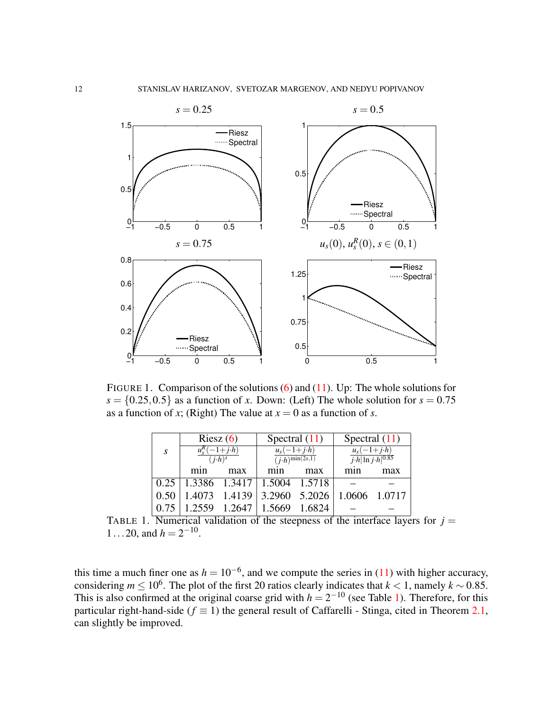

<span id="page-11-0"></span>FIGURE 1. Comparison of the solutions [\(6\)](#page-1-3) and [\(11\)](#page-2-2). Up: The whole solutions for  $s = \{0.25, 0.5\}$  as a function of *x*. Down: (Left) The whole solution for  $s = 0.75$ as a function of *x*; (Right) The value at  $x = 0$  as a function of *s*.

|      | Riesz $(6)$                             |               | Spectral $(11)$                                             |        | Spectral $(11)$                                        |               |
|------|-----------------------------------------|---------------|-------------------------------------------------------------|--------|--------------------------------------------------------|---------------|
| S.   | $u_s^R(-1+j\cdot h)$<br>$(i \cdot h)^s$ |               | $u_s(-1+j \cdot h)$<br>$\overline{(j\cdot h)^{\min(2s,1)}}$ |        | $u_s(-1+j \cdot h)$<br>$j\cdot h \ln j\cdot h ^{0.85}$ |               |
|      | m <sub>1</sub> n                        | max           | mnn                                                         | max    |                                                        | max           |
| 0.25 | 1.3386 1.3417                           |               | 1.5004 1.5718                                               |        |                                                        |               |
| 0.50 | 1.4073                                  | 1.4139        | 3.2960                                                      | 5.2026 |                                                        | 1.0606 1.0717 |
| 0.75 |                                         | 1.2559 1.2647 | 1.5669                                                      | 1.6824 |                                                        |               |

<span id="page-11-1"></span>TABLE 1. Numerical validation of the steepness of the interface layers for  $j =$ 1 . . . 20, and  $h = 2^{-10}$ .

this time a much finer one as  $h = 10^{-6}$ , and we compute the series in [\(11\)](#page-2-2) with higher accuracy, considering  $m \leq 10^6$ . The plot of the first 20 ratios clearly indicates that  $k < 1$ , namely  $k \sim 0.85$ . This is also confirmed at the original coarse grid with  $h = 2^{-10}$  (see Table [1\)](#page-11-1). Therefore, for this particular right-hand-side ( $f \equiv 1$ ) the general result of Caffarelli - Stinga, cited in Theorem [2.1,](#page-2-3) can slightly be improved.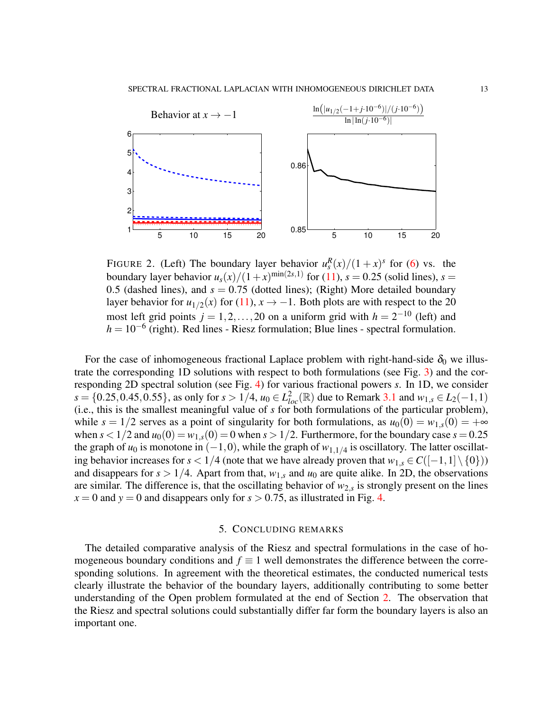

<span id="page-12-0"></span>FIGURE 2. (Left) The boundary layer behavior  $u_s^R(x)/(1+x)^s$  for [\(6\)](#page-1-3) vs. the boundary layer behavior  $u_s(x)/(1+x)^{\min(2s,1)}$  for [\(11\)](#page-2-2),  $s = 0.25$  (solid lines),  $s =$ 0.5 (dashed lines), and  $s = 0.75$  (dotted lines); (Right) More detailed boundary layer behavior for  $u_{1/2}(x)$  for [\(11\)](#page-2-2),  $x \to -1$ . Both plots are with respect to the 20 most left grid points  $j = 1, 2, ..., 20$  on a uniform grid with  $h = 2^{-10}$  (left) and *h* = 10<sup>-6</sup> (right). Red lines - Riesz formulation; Blue lines - spectral formulation.

For the case of inhomogeneous fractional Laplace problem with right-hand-side  $\delta_0$  we illustrate the corresponding 1D solutions with respect to both formulations (see Fig. [3\)](#page-13-0) and the corresponding 2D spectral solution (see Fig. [4\)](#page-13-1) for various fractional powers *s*. In 1D, we consider *s* = {0.25, 0.45, 0.55}, as only for *s* > 1/4, *u*<sub>0</sub> ∈  $L_{loc}^2(\mathbb{R})$  due to Remark [3.1](#page-5-4) and  $w_{1,s} \in L_2(-1,1)$ (i.e., this is the smallest meaningful value of *s* for both formulations of the particular problem), while  $s = 1/2$  serves as a point of singularity for both formulations, as  $u_0(0) = w_{1,s}(0) = +\infty$ when  $s < 1/2$  and  $u_0(0) = w_{1,s}(0) = 0$  when  $s > 1/2$ . Furthermore, for the boundary case  $s = 0.25$ the graph of  $u_0$  is monotone in  $(-1,0)$ , while the graph of  $w_{1,1/4}$  is oscillatory. The latter oscillating behavior increases for  $s < 1/4$  (note that we have already proven that  $w_{1,s} \in C([-1,1] \setminus \{0\})$ ) and disappears for  $s > 1/4$ . Apart from that,  $w_{1,s}$  and  $u_0$  are quite alike. In 2D, the observations are similar. The difference is, that the oscillating behavior of  $w_{2,s}$  is strongly present on the lines  $x = 0$  and  $y = 0$  and disappears only for  $s > 0.75$ , as illustrated in Fig. [4.](#page-13-1)

# 5. CONCLUDING REMARKS

The detailed comparative analysis of the Riesz and spectral formulations in the case of homogeneous boundary conditions and  $f \equiv 1$  well demonstrates the difference between the corresponding solutions. In agreement with the theoretical estimates, the conducted numerical tests clearly illustrate the behavior of the boundary layers, additionally contributing to some better understanding of the Open problem formulated at the end of Section [2.](#page-1-1) The observation that the Riesz and spectral solutions could substantially differ far form the boundary layers is also an important one.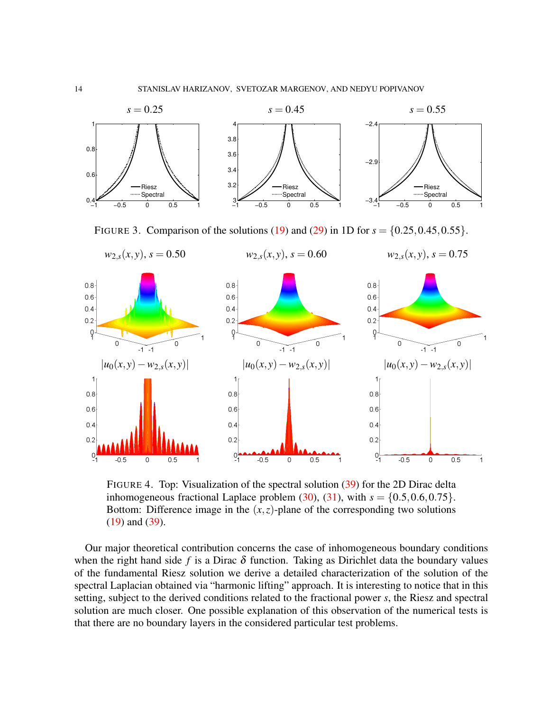

<span id="page-13-0"></span>FIGURE 3. Comparison of the solutions [\(19\)](#page-5-0) and [\(29\)](#page-7-0) in 1D for  $s = \{0.25, 0.45, 0.55\}$ .



<span id="page-13-1"></span>FIGURE 4. Top: Visualization of the spectral solution [\(39\)](#page-10-1) for the 2D Dirac delta inhomogeneous fractional Laplace problem  $(30)$ ,  $(31)$ , with  $s = \{0.5, 0.6, 0.75\}$ . Bottom: Difference image in the  $(x, z)$ -plane of the corresponding two solutions [\(19\)](#page-5-0) and [\(39\)](#page-10-1).

Our major theoretical contribution concerns the case of inhomogeneous boundary conditions when the right hand side f is a Dirac  $\delta$  function. Taking as Dirichlet data the boundary values of the fundamental Riesz solution we derive a detailed characterization of the solution of the spectral Laplacian obtained via "harmonic lifting" approach. It is interesting to notice that in this setting, subject to the derived conditions related to the fractional power *s*, the Riesz and spectral solution are much closer. One possible explanation of this observation of the numerical tests is that there are no boundary layers in the considered particular test problems.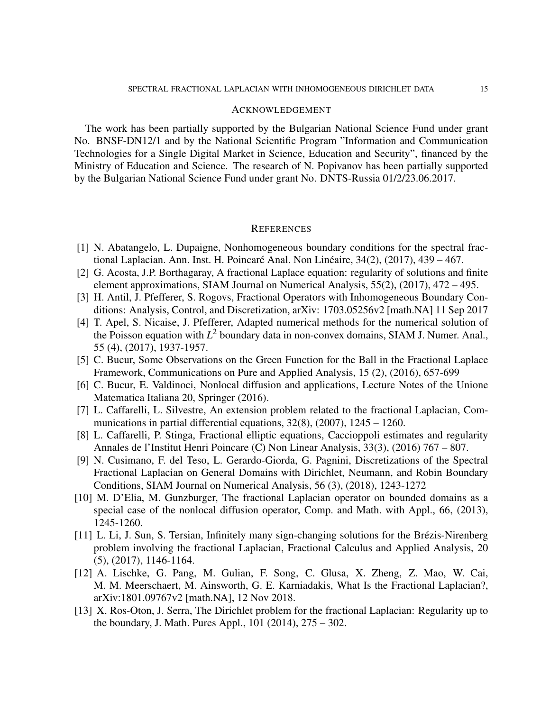### ACKNOWLEDGEMENT

The work has been partially supported by the Bulgarian National Science Fund under grant No. BNSF-DN12/1 and by the National Scientific Program "Information and Communication Technologies for a Single Digital Market in Science, Education and Security", financed by the Ministry of Education and Science. The research of N. Popivanov has been partially supported by the Bulgarian National Science Fund under grant No. DNTS-Russia 01/2/23.06.2017.

#### **REFERENCES**

- <span id="page-14-11"></span>[1] N. Abatangelo, L. Dupaigne, Nonhomogeneous boundary conditions for the spectral fractional Laplacian. Ann. Inst. H. Poincaré Anal. Non Linéaire,  $34(2)$ ,  $(2017)$ ,  $439 - 467$ .
- <span id="page-14-3"></span>[2] G. Acosta, J.P. Borthagaray, A fractional Laplace equation: regularity of solutions and finite element approximations, SIAM Journal on Numerical Analysis, 55(2), (2017), 472 – 495.
- <span id="page-14-8"></span>[3] H. Antil, J. Pfefferer, S. Rogovs, Fractional Operators with Inhomogeneous Boundary Conditions: Analysis, Control, and Discretization, arXiv: 1703.05256v2 [math.NA] 11 Sep 2017
- <span id="page-14-12"></span>[4] T. Apel, S. Nicaise, J. Pfefferer, Adapted numerical methods for the numerical solution of the Poisson equation with  $L^2$  boundary data in non-convex domains, SIAM J. Numer. Anal., 55 (4), (2017), 1937-1957.
- <span id="page-14-0"></span>[5] C. Bucur, Some Observations on the Green Function for the Ball in the Fractional Laplace Framework, Communications on Pure and Applied Analysis, 15 (2), (2016), 657-699
- <span id="page-14-1"></span>[6] C. Bucur, E. Valdinoci, Nonlocal diffusion and applications, Lecture Notes of the Unione Matematica Italiana 20, Springer (2016).
- <span id="page-14-6"></span>[7] L. Caffarelli, L. Silvestre, An extension problem related to the fractional Laplacian, Communications in partial differential equations,  $32(8)$ ,  $(2007)$ ,  $1245 - 1260$ .
- <span id="page-14-7"></span>[8] L. Caffarelli, P. Stinga, Fractional elliptic equations, Caccioppoli estimates and regularity Annales de l'Institut Henri Poincare (C) Non Linear Analysis, 33(3), (2016) 767 – 807.
- <span id="page-14-10"></span>[9] N. Cusimano, F. del Teso, L. Gerardo-Giorda, G. Pagnini, Discretizations of the Spectral Fractional Laplacian on General Domains with Dirichlet, Neumann, and Robin Boundary Conditions, SIAM Journal on Numerical Analysis, 56 (3), (2018), 1243-1272
- <span id="page-14-4"></span>[10] M. D'Elia, M. Gunzburger, The fractional Laplacian operator on bounded domains as a special case of the nonlocal diffusion operator, Comp. and Math. with Appl., 66, (2013), 1245-1260.
- <span id="page-14-5"></span>[11] L. Li, J. Sun, S. Tersian, Infinitely many sign-changing solutions for the Brézis-Nirenberg problem involving the fractional Laplacian, Fractional Calculus and Applied Analysis, 20 (5), (2017), 1146-1164.
- <span id="page-14-9"></span>[12] A. Lischke, G. Pang, M. Gulian, F. Song, C. Glusa, X. Zheng, Z. Mao, W. Cai, M. M. Meerschaert, M. Ainsworth, G. E. Karniadakis, What Is the Fractional Laplacian?, arXiv:1801.09767v2 [math.NA], 12 Nov 2018.
- <span id="page-14-2"></span>[13] X. Ros-Oton, J. Serra, The Dirichlet problem for the fractional Laplacian: Regularity up to the boundary, J. Math. Pures Appl., 101 (2014), 275 – 302.